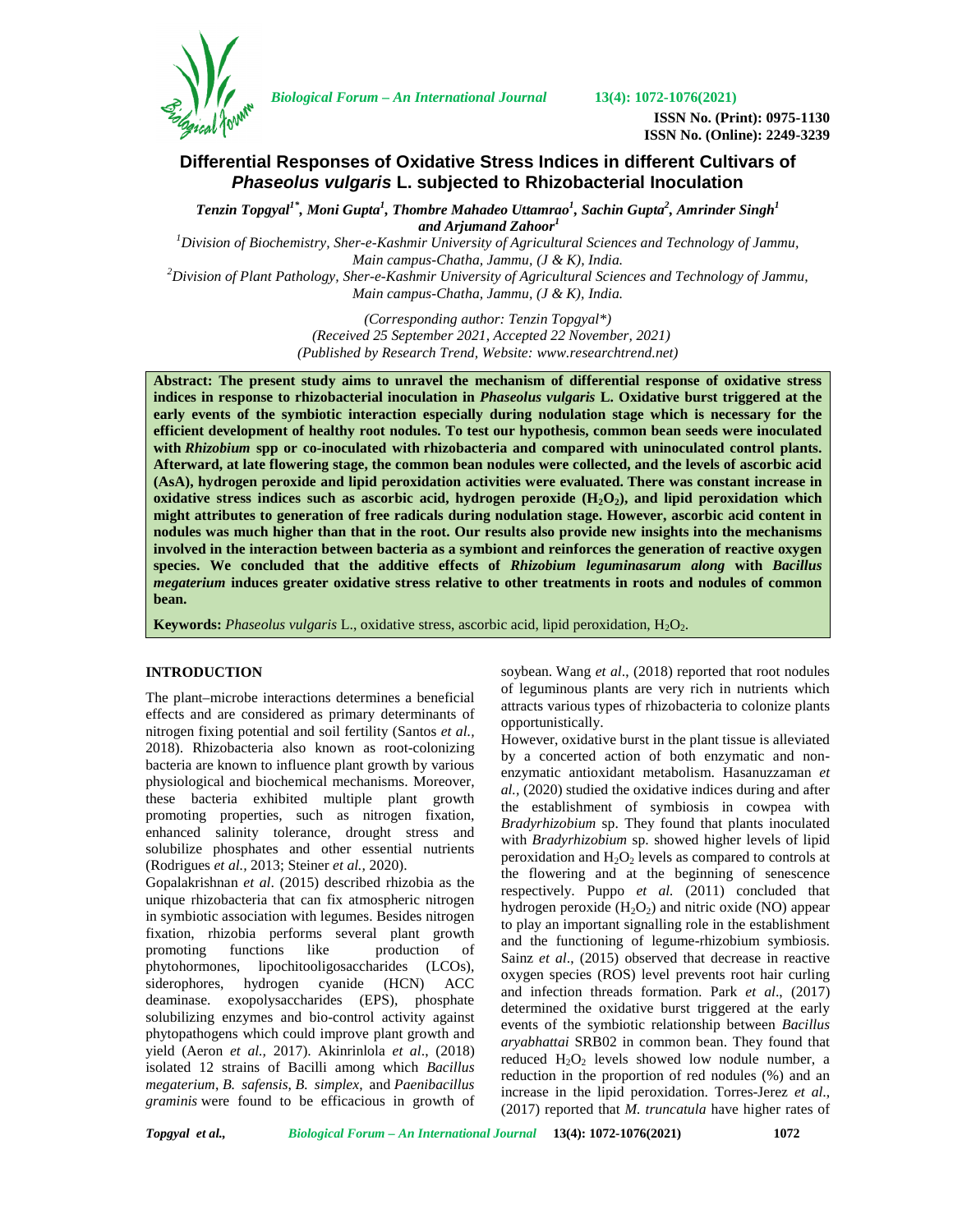

*Biological Forum – An International Journal* **13(4): 1072-1076(2021)**

**ISSN No. (Print): 0975-1130 ISSN No. (Online): 2249-3239**

# **Differential Responses of Oxidative Stress Indices in different Cultivars of** *Phaseolus vulgaris* **L. subjected to Rhizobacterial Inoculation**

*Tenzin Topgyal1\* , Moni Gupta<sup>1</sup> , Thombre Mahadeo Uttamrao<sup>1</sup> , Sachin Gupta<sup>2</sup> , Amrinder Singh<sup>1</sup> and Arjumand Zahoor<sup>1</sup>*

*<sup>1</sup>Division of Biochemistry, Sher-e-Kashmir University of Agricultural Sciences and Technology of Jammu, Main campus-Chatha, Jammu, (J & K), India. <sup>2</sup>Division of Plant Pathology, Sher-e-Kashmir University of Agricultural Sciences and Technology of Jammu,*

*Main campus-Chatha, Jammu, (J & K), India.*

*(Corresponding author: Tenzin Topgyal\*) (Received 25 September 2021, Accepted 22 November, 2021) (Published by Research Trend, Website: [www.researchtrend.net\)](www.researchtrend.net)*

**Abstract: The present study aims to unravel the mechanism of differential response of oxidative stress indices in response to rhizobacterial inoculation in** *Phaseolus vulgaris* **L. Oxidative burst triggered at the early events of the symbiotic interaction especially during nodulation stage which is necessary for the efficient development of healthy root nodules. To test our hypothesis, common bean seeds were inoculated with** *Rhizobium* **spp or co-inoculated with rhizobacteria and compared with uninoculated control plants. Afterward, at late flowering stage, the common bean nodules were collected, and the levels of ascorbic acid (AsA), hydrogen peroxide and lipid peroxidation activities were evaluated. There was constant increase in oxidative stress indices such as ascorbic acid, hydrogen peroxide (H2O2), and lipid peroxidation which might attributes to generation of free radicals during nodulation stage. However, ascorbic acid content in nodules was much higher than that in the root. Our results also provide new insights into the mechanisms involved in the interaction between bacteria as a symbiont and reinforces the generation of reactive oxygen species. We concluded that the additive effects of** *Rhizobium leguminasarum along* **with** *Bacillus megaterium* **induces greater oxidative stress relative to other treatments in roots and nodules of common bean.**

**Keywords:** *Phaseolus vulgaris* L., oxidative stress, ascorbic acid, lipid peroxidation, H<sub>2</sub>O<sub>2</sub>.

### **INTRODUCTION**

The plant–microbe interactions determines a beneficial effects and are considered as primary determinants of nitrogen fixing potential and soil fertility (Santos *et al.,* 2018). Rhizobacteria also known as root-colonizing bacteria are known to influence plant growth by various physiological and biochemical mechanisms. Moreover, these bacteria exhibited multiple plant growth promoting properties, such as nitrogen fixation, enhanced salinity tolerance, drought stress and solubilize phosphates and other essential nutrients (Rodrigues *et al.,* 2013; Steiner *et al.,* 2020).

Gopalakrishnan *et al*. (2015) described rhizobia as the unique rhizobacteria that can fix atmospheric nitrogen in symbiotic association with legumes. Besides nitrogen fixation, rhizobia performs several plant growth promoting functions like production of phytohormones, lipochitooligosaccharides (LCOs), siderophores, hydrogen cyanide (HCN) ACC deaminase. exopolysaccharides (EPS), phosphate solubilizing enzymes and bio-control activity against phytopathogens which could improve plant growth and yield (Aeron *et al.,* 2017). Akinrinlola *et al*., (2018) isolated 12 strains of Bacilli among which *Bacillus megaterium*, *B. safensis*, *B. simplex*, and *Paenibacillus graminis* were found to be efficacious in growth of soybean. Wang *et al*., (2018) reported that root nodules of leguminous plants are very rich in nutrients which attracts various types of rhizobacteria to colonize plants opportunistically.

However, oxidative burst in the plant tissue is alleviated by a concerted action of both enzymatic and non enzymatic antioxidant metabolism. Hasanuzzaman *et al.,* (2020) studied the oxidative indices during and after the establishment of symbiosis in cowpea with *Bradyrhizobium* sp. They found that plants inoculated with *Bradyrhizobium* sp. showed higher levels of lipid peroxidation and  $H_2O_2$  levels as compared to controls at the flowering and at the beginning of senescence respectively. Puppo *et al.* (2011) concluded that hydrogen peroxide  $(H_2O_2)$  and nitric oxide (NO) appear to play an important signalling role in the establishment and the functioning of legume-rhizobium symbiosis. Sainz *et al*., (2015) observed that decrease in reactive oxygen species (ROS) level prevents root hair curling and infection threads formation. Park *et al*., (2017) determined the oxidative burst triggered at the early events of the symbiotic relationship between *Bacillus aryabhattai* SRB02 in common bean. They found that reduced  $H_2O_2$  levels showed low nodule number, a reduction in the proportion of red nodules (%) and an increase in the lipid peroxidation. Torres-Jerez *et al*., (2017) reported that *M. truncatula* have higher rates of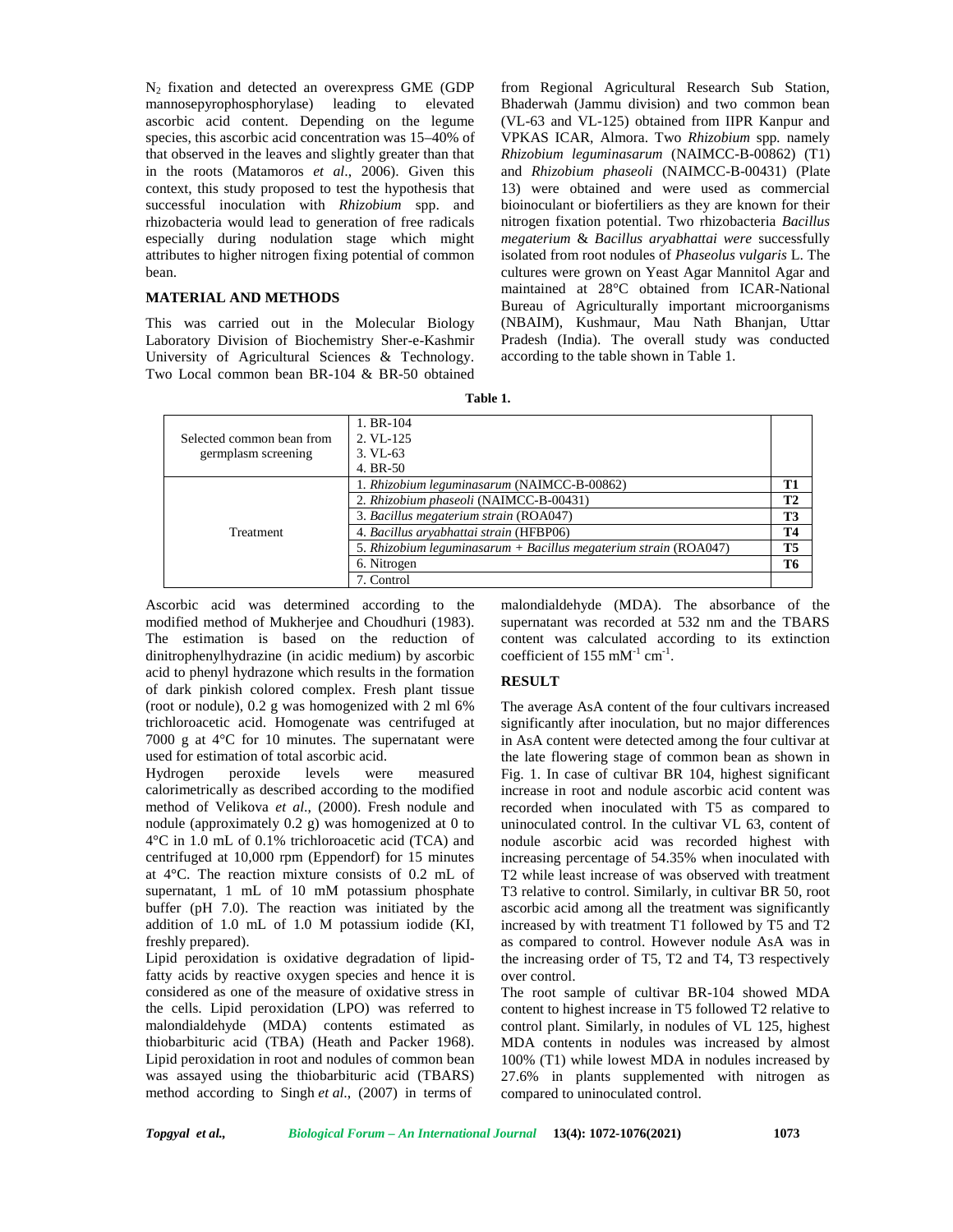$N_2$  fixation and detected an overexpress GME (GDP) mannosepyrophosphorylase) leading to elevated ascorbic acid content. Depending on the legume species, this ascorbic acid concentration was 15–40% of that observed in the leaves and slightly greater than that in the roots (Matamoros *et al*., 2006). Given this context, this study proposed to test the hypothesis that successful inoculation with *Rhizobium* spp. and rhizobacteria would lead to generation of free radicals especially during nodulation stage which might attributes to higher nitrogen fixing potential of common bean.

#### **MATERIAL AND METHODS**

This was carried out in the Molecular Biology Laboratory Division of Biochemistry Sher-e-Kashmir University of Agricultural Sciences & Technology. Two Local common bean BR-104 & BR-50 obtained

from Regional Agricultural Research Sub Station, Bhaderwah (Jammu division) and two common bean (VL-63 and VL-125) obtained from IIPR Kanpur and VPKAS ICAR, Almora. Two *Rhizobium* spp*.* namely *Rhizobium leguminasarum* (NAIMCC-B-00862) (T1) and *Rhizobium phaseoli* (NAIMCC-B-00431) (Plate 13) were obtained and were used as commercial bioinoculant or biofertiliers as they are known for their nitrogen fixation potential. Two rhizobacteria *Bacillus megaterium* & *Bacillus aryabhattai were* successfully isolated from root nodules of *Phaseolus vulgaris* L. The cultures were grown on Yeast Agar Mannitol Agar and maintained at 28°C obtained from ICAR-National Bureau of Agriculturally important microorganisms (NBAIM), Kushmaur, Mau Nath Bhanjan, Uttar Pradesh (India). The overall study was conducted according to the table shown in Table 1.

| Table 1. |
|----------|
|          |

| Selected common bean from<br>germplasm screening | $1. BR-104$<br>$2. V1 - 125$<br>$3. VL-63$<br>4. BR-50               |           |
|--------------------------------------------------|----------------------------------------------------------------------|-----------|
| Treatment                                        | 1. Rhizobium leguminasarum (NAIMCC-B-00862)                          | T1        |
|                                                  | 2. Rhizobium phaseoli (NAIMCC-B-00431)                               | <b>T2</b> |
|                                                  | 3. Bacillus megaterium strain (ROA047)                               | T3        |
|                                                  | 4. Bacillus aryabhattai strain (HFBP06)                              | Т4        |
|                                                  | 5. Rhizobium leguminasarum + Bacillus megaterium strain ( $ROA047$ ) | T5        |
|                                                  | 6. Nitrogen                                                          | T6        |
|                                                  | 7. Control                                                           |           |

Ascorbic acid was determined according to the modified method of Mukherjee and Choudhuri (1983). The estimation is based on the reduction of dinitrophenylhydrazine (in acidic medium) by ascorbic acid to phenyl hydrazone which results in the formation of dark pinkish colored complex. Fresh plant tissue (root or nodule), 0.2 g was homogenized with 2 ml 6% trichloroacetic acid. Homogenate was centrifuged at 7000 g at 4°C for 10 minutes. The supernatant were used for estimation of total ascorbic acid.

Hydrogen peroxide levels were measured calorimetrically as described according to the modified method of Velikova et al., (2000). Fresh nodule and nodule (approximately 0.2 g) was homogenized at 0 to 4°C in 1.0 mL of 0.1% trichloroacetic acid (TCA) and centrifuged at 10,000 rpm (Eppendorf) for 15 minutes at 4°C. The reaction mixture consists of 0.2 mL of supernatant, 1 mL of 10 mM potassium phosphate buffer (pH 7.0). The reaction was initiated by the addition of 1.0 mL of 1.0 M potassium iodide (KI, freshly prepared).

Lipid peroxidation is oxidative degradation of lipidfatty acids by reactive oxygen species and hence it is considered as one of the measure of oxidative stress in the cells. Lipid peroxidation (LPO) was referred to malondialdehyde (MDA) contents estimated as thiobarbituric acid (TBA) (Heath and Packer 1968). Lipid peroxidation in root and nodules of common bean was assayed using the thiobarbituric acid (TBARS) method according to Singh *et al*., (2007) in terms of

malondialdehyde (MDA). The absorbance of the supernatant was recorded at 532 nm and the TBARS content was calculated according to its extinction coefficient of  $155 \text{ mM}^{-1} \text{ cm}^{-1}$ .

#### **RESULT**

The average AsA content of the four cultivars increased significantly after inoculation, but no major differences in AsA content were detected among the four cultivar at the late flowering stage of common bean as shown in Fig. 1. In case of cultivar BR 104, highest significant increase in root and nodule ascorbic acid content was recorded when inoculated with T5 as compared to uninoculated control. In the cultivar VL 63, content of nodule ascorbic acid was recorded highest with increasing percentage of 54.35% when inoculated with T2 while least increase of was observed with treatment T3 relative to control. Similarly, in cultivar BR 50, root ascorbic acid among all the treatment was significantly increased by with treatment T1 followed by T5 and T2 as compared to control. However nodule AsA was in the increasing order of T5, T2 and T4, T3 respectively over control.

The root sample of cultivar BR-104 showed MDA content to highest increase in T5 followed T2 relative to control plant. Similarly, in nodules of VL 125, highest MDA contents in nodules was increased by almost 100% (T1) while lowest MDA in nodules increased by 27.6% in plants supplemented with nitrogen as compared to uninoculated control.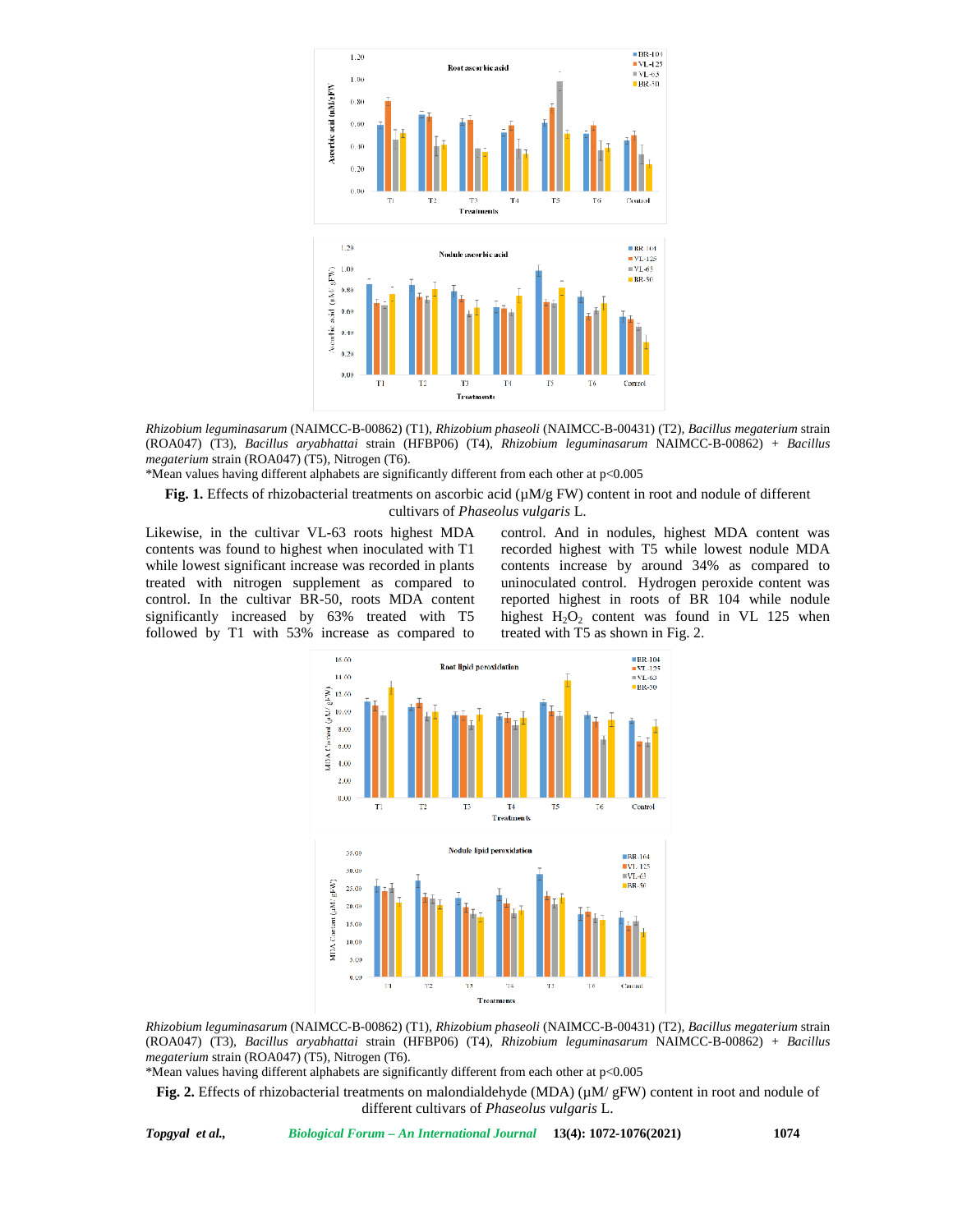

*Rhizobium leguminasarum* (NAIMCC-B-00862) (T1), *Rhizobium phaseoli* (NAIMCC-B-00431) (T2), *Bacillus megaterium* strain (ROA047) (T3), *Bacillus aryabhattai* strain (HFBP06) (T4), *Rhizobium leguminasarum* NAIMCC-B-00862) + *Bacillus megaterium* strain (ROA047) (T5)*,* Nitrogen (T6).

\*Mean values having different alphabets are significantly different from each other at p<0.005

**Fig. 1.** Effects of rhizobacterial treatments on ascorbic acid (µM/g FW) content in root and nodule of different cultivars of *Phaseolus vulgaris* L.

Likewise, in the cultivar VL-63 roots highest MDA contents was found to highest when inoculated with T1 while lowest significant increase was recorded in plants treated with nitrogen supplement as compared to control. In the cultivar BR-50, roots MDA content significantly increased by 63% treated with T5 followed by T1 with 53% increase as compared to control. And in nodules, highest MDA content was recorded highest with T5 while lowest nodule MDA contents increase by around 34% as compared to uninoculated control. Hydrogen peroxide content was reported highest in roots of BR 104 while nodule highest  $H_2O_2$  content was found in VL 125 when treated with T5 as shown in Fig. 2.



*Rhizobium leguminasarum* (NAIMCC-B-00862) (T1), *Rhizobium phaseoli* (NAIMCC-B-00431) (T2), *Bacillus megaterium* strain (ROA047) (T3), *Bacillus aryabhattai* strain (HFBP06) (T4), *Rhizobium leguminasarum* NAIMCC-B-00862) + *Bacillus megaterium* strain (ROA047) (T5)*,* Nitrogen (T6).

\*Mean values having different alphabets are significantly different from each other at p<0.005

**Fig. 2.** Effects of rhizobacterial treatments on malondialdehyde (MDA) (µM/ gFW) content in root and nodule of different cultivars of *Phaseolus vulgaris* L.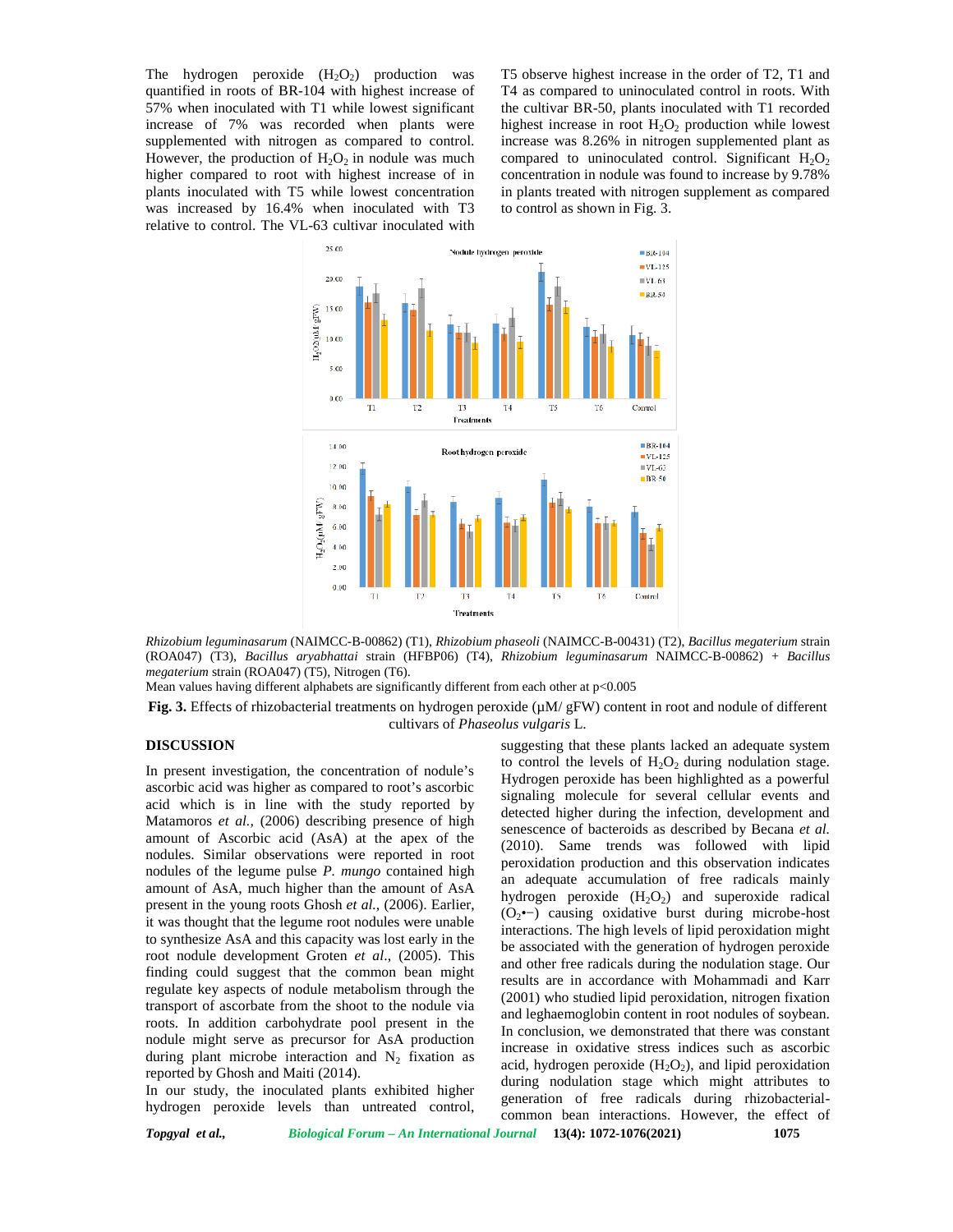The hydrogen peroxide  $(H_2O_2)$  production was quantified in roots of BR-104 with highest increase of 57% when inoculated with T1 while lowest significant increase of 7% was recorded when plants were supplemented with nitrogen as compared to control. However, the production of  $H_2O_2$  in nodule was much higher compared to root with highest increase of in plants inoculated with T5 while lowest concentration was increased by 16.4% when inoculated with T3 relative to control. The VL-63 cultivar inoculated with

T5 observe highest increase in the order of T2, T1 and T4 as compared to uninoculated control in roots. With the cultivar BR-50, plants inoculated with T1 recorded highest increase in root  $H_2O_2$  production while lowest increase was 8.26% in nitrogen supplemented plant as compared to uninoculated control. Significant  $H_2O_2$ concentration in nodule was found to increase by 9.78% in plants treated with nitrogen supplement as compared to control as shown in Fig. 3.



*Rhizobium leguminasarum* (NAIMCC-B-00862) (T1), *Rhizobium phaseoli* (NAIMCC-B-00431) (T2), *Bacillus megaterium* strain (ROA047) (T3), *Bacillus aryabhattai* strain (HFBP06) (T4), *Rhizobium leguminasarum* NAIMCC-B-00862) + *Bacillus megaterium* strain (ROA047) (T5)*,* Nitrogen (T6).

Mean values having different alphabets are significantly different from each other at p<0.005

**Fig. 3.** Effects of rhizobacterial treatments on hydrogen peroxide (µM/ gFW) content in root and nodule of different cultivars of *Phaseolus vulgaris* L.

## **DISCUSSION**

In present investigation, the concentration of nodule's ascorbic acid was higher as compared to root's ascorbic acid which is in line with the study reported by Matamoros *et al.,* (2006) describing presence of high amount of Ascorbic acid (AsA) at the apex of the nodules. Similar observations were reported in root nodules of the legume pulse *P. mungo* contained high amount of AsA, much higher than the amount of AsA present in the young roots Ghosh *et al.,* (2006). Earlier, it was thought that the legume root nodules were unable to synthesize AsA and this capacity was lost early in the root nodule development Groten *et al*., (2005). This finding could suggest that the common bean might regulate key aspects of nodule metabolism through the transport of ascorbate from the shoot to the nodule via roots. In addition carbohydrate pool present in the nodule might serve as precursor for AsA production during plant microbe interaction and  $N_2$  fixation as reported by Ghosh and Maiti (2014).

In our study, the inoculated plants exhibited higher hydrogen peroxide levels than untreated control,

suggesting that these plants lacked an adequate system to control the levels of  $H_2O_2$  during nodulation stage. Hydrogen peroxide has been highlighted as a powerful signaling molecule for several cellular events and detected higher during the infection, development and senescence of bacteroids as described by Becana *et al.* (2010). Same trends was followed with lipid peroxidation production and this observation indicates an adequate accumulation of free radicals mainly hydrogen peroxide  $(H_2O_2)$  and superoxide radical (O2•−) causing oxidative burst during microbe-host interactions. The high levels of lipid peroxidation might be associated with the generation of hydrogen peroxide and other free radicals during the nodulation stage. Our results are in accordance with Mohammadi and Karr (2001) who studied lipid peroxidation, nitrogen fixation and leghaemoglobin content in root nodules of soybean. In conclusion, we demonstrated that there was constant increase in oxidative stress indices such as ascorbic acid, hydrogen peroxide  $(H_2O_2)$ , and lipid peroxidation during nodulation stage which might attributes to generation of free radicals during rhizobacterial common bean interactions. However, the effect of